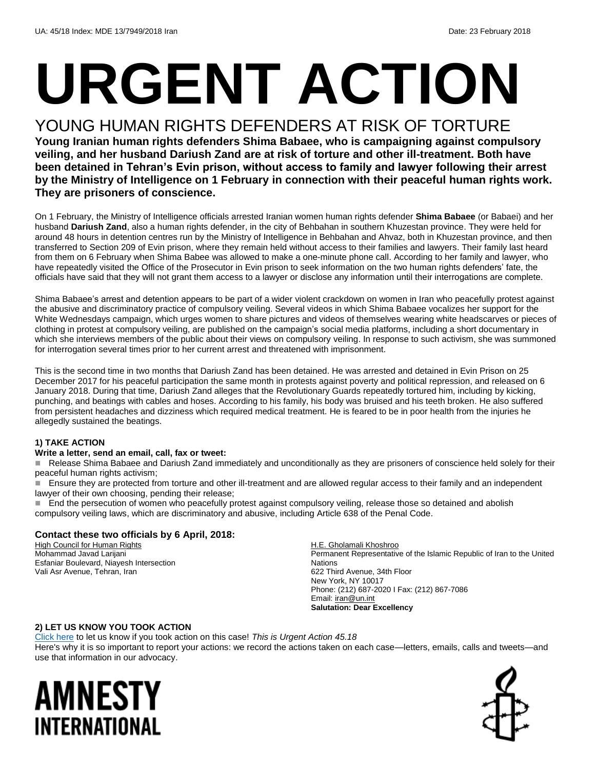# **URGENT ACTION**

#### YOUNG HUMAN RIGHTS DEFENDERS AT RISK OF TORTURE

**Young Iranian human rights defenders Shima Babaee, who is campaigning against compulsory veiling, and her husband Dariush Zand are at risk of torture and other ill-treatment. Both have been detained in Tehran's Evin prison, without access to family and lawyer following their arrest by the Ministry of Intelligence on 1 February in connection with their peaceful human rights work. They are prisoners of conscience.**

On 1 February, the Ministry of Intelligence officials arrested Iranian women human rights defender **Shima Babaee** (or Babaei) and her husband **Dariush Zand**, also a human rights defender, in the city of Behbahan in southern Khuzestan province. They were held for around 48 hours in detention centres run by the Ministry of Intelligence in Behbahan and Ahvaz, both in Khuzestan province, and then transferred to Section 209 of Evin prison, where they remain held without access to their families and lawyers. Their family last heard from them on 6 February when Shima Babee was allowed to make a one-minute phone call. According to her family and lawyer, who have repeatedly visited the Office of the Prosecutor in Evin prison to seek information on the two human rights defenders' fate, the officials have said that they will not grant them access to a lawyer or disclose any information until their interrogations are complete.

Shima Babaee's arrest and detention appears to be part of a wider violent crackdown on women in Iran who peacefully protest against the abusive and discriminatory practice of compulsory veiling. Several videos in which Shima Babaee vocalizes her support for the White Wednesdays campaign, which urges women to share pictures and videos of themselves wearing white headscarves or pieces of clothing in protest at compulsory veiling, are published on the campaign's social media platforms, including a short documentary in which she interviews members of the public about their views on compulsory veiling. In response to such activism, she was summoned for interrogation several times prior to her current arrest and threatened with imprisonment.

This is the second time in two months that Dariush Zand has been detained. He was arrested and detained in Evin Prison on 25 December 2017 for his peaceful participation the same month in protests against poverty and political repression, and released on 6 January 2018. During that time, Dariush Zand alleges that the Revolutionary Guards repeatedly tortured him, including by kicking, punching, and beatings with cables and hoses. According to his family, his body was bruised and his teeth broken. He also suffered from persistent headaches and dizziness which required medical treatment. He is feared to be in poor health from the injuries he allegedly sustained the beatings.

#### **1) TAKE ACTION**

#### **Write a letter, send an email, call, fax or tweet:**

Release Shima Babaee and Dariush Zand immediately and unconditionally as they are prisoners of conscience held solely for their peaceful human rights activism;

 Ensure they are protected from torture and other ill-treatment and are allowed regular access to their family and an independent lawyer of their own choosing, pending their release;

**End the persecution of women who peacefully protest against compulsory veiling, release those so detained and abolish** compulsory veiling laws, which are discriminatory and abusive, including Article 638 of the Penal Code.

#### **Contact these two officials by 6 April, 2018:**

**High Council for Human Rights** Mohammad Javad Larijani Esfaniar Boulevard, Niayesh Intersection Vali Asr Avenue, Tehran, Iran

H.E. Gholamali Khoshroo Permanent Representative of the Islamic Republic of Iran to the United Nations 622 Third Avenue, 34th Floor New York, NY 10017 Phone: (212) 687-2020 I Fax: (212) 867-7086 Email: *iran@un.int* **Salutation: Dear Excellency**

#### **2) LET US KNOW YOU TOOK ACTION**

[Click here](https://www.amnestyusa.org/report-urgent-actions/) to let us know if you took action on this case! *This is Urgent Action 45.18* Here's why it is so important to report your actions: we record the actions taken on each case—letters, emails, calls and tweets—and use that information in our advocacy.

### AMNESTY INTERNATIONAL